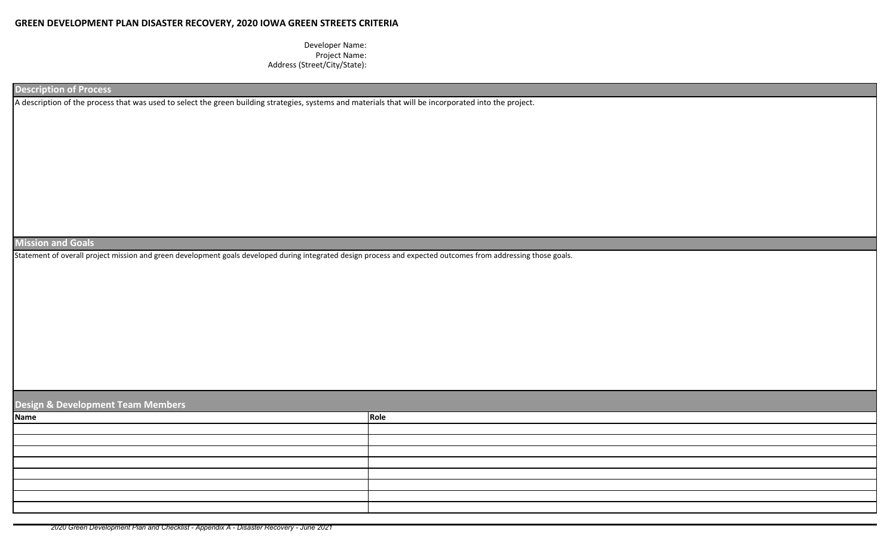## **GREEN DEVELOPMENT PLAN DISASTER RECOVERY, 2020 IOWA GREEN STREETS CRITERIA**

Developer Name: Project Name: Address (Street/City/State):

**Description of Process**

A description of the process that was used to select the green building strategies, systems and materials that will be incorporated into the project.

**Mission and Goals** 

Statement of overall project mission and green development goals developed during integrated design process and expected outcomes from addressing those goals.

| Design & Development Team Members |      |  |  |  |  |  |  |  |  |
|-----------------------------------|------|--|--|--|--|--|--|--|--|
| <b>Name</b>                       | Role |  |  |  |  |  |  |  |  |
|                                   |      |  |  |  |  |  |  |  |  |
|                                   |      |  |  |  |  |  |  |  |  |
|                                   |      |  |  |  |  |  |  |  |  |
|                                   |      |  |  |  |  |  |  |  |  |
|                                   |      |  |  |  |  |  |  |  |  |
|                                   |      |  |  |  |  |  |  |  |  |
|                                   |      |  |  |  |  |  |  |  |  |
|                                   |      |  |  |  |  |  |  |  |  |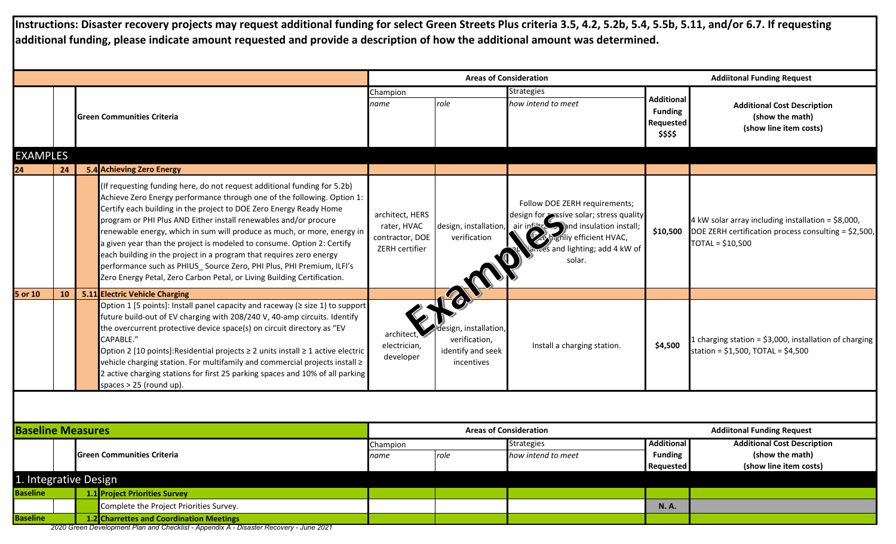**Instructions: Disaster recovery projects may request additional funding for select Green Streets Plus criteria 3.5, 4.2, 5.2b, 5.4, 5.5b, 5.11, and/or 6.7. If requesting additional funding, please indicate amount requested and provide a description of how the additional amount was determined.**

|                          |    |                                                                                                                                                                                                                                                                                                                                                                                                                                                                                                                                                                                                                                                                              |                                                                     | <b>Areas of Consideration</b>                                            |                                                                                                                                                                                 | <b>Addiitonal Funding Request</b>                            |                                                                                                                                |  |
|--------------------------|----|------------------------------------------------------------------------------------------------------------------------------------------------------------------------------------------------------------------------------------------------------------------------------------------------------------------------------------------------------------------------------------------------------------------------------------------------------------------------------------------------------------------------------------------------------------------------------------------------------------------------------------------------------------------------------|---------------------------------------------------------------------|--------------------------------------------------------------------------|---------------------------------------------------------------------------------------------------------------------------------------------------------------------------------|--------------------------------------------------------------|--------------------------------------------------------------------------------------------------------------------------------|--|
|                          |    | <b>Green Communities Criteria</b>                                                                                                                                                                                                                                                                                                                                                                                                                                                                                                                                                                                                                                            | Champion<br>name                                                    | role                                                                     | <b>Strategies</b><br>how intend to meet                                                                                                                                         | <b>Additional</b><br><b>Funding</b><br>Requested<br>\$\$\$\$ | <b>Additional Cost Description</b><br>(show the math)<br>(show line item costs)                                                |  |
| <b>EXAMPLES</b>          |    |                                                                                                                                                                                                                                                                                                                                                                                                                                                                                                                                                                                                                                                                              |                                                                     |                                                                          |                                                                                                                                                                                 |                                                              |                                                                                                                                |  |
|                          | 24 | 5.4 Achieving Zero Energy                                                                                                                                                                                                                                                                                                                                                                                                                                                                                                                                                                                                                                                    |                                                                     |                                                                          |                                                                                                                                                                                 |                                                              |                                                                                                                                |  |
|                          |    | (If requesting funding here, do not request additional funding for 5.2b)<br>Achieve Zero Energy performance through one of the following. Option 1:<br>Certify each building in the project to DOE Zero Energy Ready Home<br>program or PHI Plus AND Either install renewables and/or procure<br>renewable energy, which in sum will produce as much, or more, energy in<br>a given year than the project is modeled to consume. Option 2: Certify<br>each building in the project in a program that requires zero energy<br>performance such as PHIUS_Source Zero, PHI Plus, PHI Premium, ILFI's<br>Zero Energy Petal, Zero Carbon Petal, or Living Building Certification. | architect, HERS<br>rater, HVAC<br>contractor, DOE<br>ZERH certifier | 120m                                                                     | Follow DOE ZERH requirements;<br>design, installation, air infiltress and insulation install;<br>verification and insulation install;<br>es and lighting; add 4 kW of<br>solar. | \$10,500                                                     | 4 kW solar array including installation = \$8,000,<br>DOE ZERH certification process consulting = \$2,500,<br>TOTAL = \$10,500 |  |
| 5 or 10                  | 10 | <b>5.11 Electric Vehicle Charging</b>                                                                                                                                                                                                                                                                                                                                                                                                                                                                                                                                                                                                                                        |                                                                     |                                                                          |                                                                                                                                                                                 |                                                              |                                                                                                                                |  |
|                          |    | Option 1 [5 points]: Install panel capacity and raceway ( $\ge$ size 1) to support<br>future build-out of EV charging with 208/240 V, 40-amp circuits. Identify<br>the overcurrent protective device space(s) on circuit directory as "EV<br>CAPABLE."<br>Option 2 [10 points]: Residential projects ≥ 2 units install ≥ 1 active electric<br>vehicle charging station. For multifamily and commercial projects install ≥<br>2 active charging stations for first 25 parking spaces and 10% of all parking<br>spaces > 25 (round up).                                                                                                                                        | architect,<br>electrician,<br>developer                             | esign, installation,<br>verification,<br>identify and seek<br>incentives | Install a charging station.                                                                                                                                                     | \$4,500                                                      | 1 charging station = \$3,000, installation of charging<br>station = $$1,500$ , TOTAL = $$4,500$                                |  |
|                          |    |                                                                                                                                                                                                                                                                                                                                                                                                                                                                                                                                                                                                                                                                              |                                                                     |                                                                          |                                                                                                                                                                                 |                                                              |                                                                                                                                |  |
|                          |    |                                                                                                                                                                                                                                                                                                                                                                                                                                                                                                                                                                                                                                                                              |                                                                     |                                                                          |                                                                                                                                                                                 |                                                              |                                                                                                                                |  |
| <b>Baseline Measures</b> |    |                                                                                                                                                                                                                                                                                                                                                                                                                                                                                                                                                                                                                                                                              |                                                                     | <b>Areas of Consideration</b>                                            |                                                                                                                                                                                 |                                                              | <b>Addiitonal Funding Request</b>                                                                                              |  |
|                          |    | <b>Green Communities Criteria</b>                                                                                                                                                                                                                                                                                                                                                                                                                                                                                                                                                                                                                                            | Champion<br>name                                                    | role                                                                     | <b>Strategies</b><br>how intend to meet                                                                                                                                         | <b>Additional</b><br><b>Funding</b><br>Requested             | <b>Additional Cost Description</b><br>(show the math)<br>(show line item costs)                                                |  |
|                          |    | 1. Integrative Design                                                                                                                                                                                                                                                                                                                                                                                                                                                                                                                                                                                                                                                        |                                                                     |                                                                          |                                                                                                                                                                                 |                                                              |                                                                                                                                |  |
| <b>Baseline</b>          |    | 1.1 Project Priorities Survey                                                                                                                                                                                                                                                                                                                                                                                                                                                                                                                                                                                                                                                |                                                                     |                                                                          |                                                                                                                                                                                 |                                                              |                                                                                                                                |  |
|                          |    | Complete the Project Priorities Survey.                                                                                                                                                                                                                                                                                                                                                                                                                                                                                                                                                                                                                                      |                                                                     |                                                                          |                                                                                                                                                                                 | <b>N.A.</b>                                                  |                                                                                                                                |  |
| <b>Baseline</b>          |    | 1.2 Charrettes and Coordination Meetings                                                                                                                                                                                                                                                                                                                                                                                                                                                                                                                                                                                                                                     |                                                                     |                                                                          |                                                                                                                                                                                 |                                                              |                                                                                                                                |  |

 *2020 Green Development Plan and Checklist - Appendix A - Disaster Recovery - June 2021*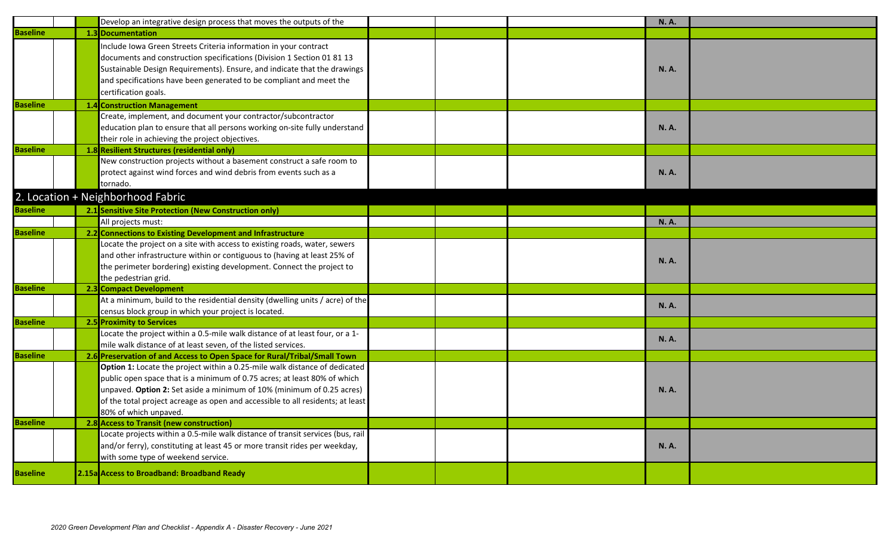|                 | Develop an integrative design process that moves the outputs of the                                                                                                                                                                                                                                                                        |  | <b>N.A.</b> |  |
|-----------------|--------------------------------------------------------------------------------------------------------------------------------------------------------------------------------------------------------------------------------------------------------------------------------------------------------------------------------------------|--|-------------|--|
| <b>Baseline</b> | 1.3 Documentation                                                                                                                                                                                                                                                                                                                          |  |             |  |
|                 | Include Iowa Green Streets Criteria information in your contract<br>documents and construction specifications (Division 1 Section 01 81 13<br>Sustainable Design Requirements). Ensure, and indicate that the drawings<br>and specifications have been generated to be compliant and meet the<br>certification goals.                      |  | <b>N.A.</b> |  |
| <b>Baseline</b> | <b>1.4 Construction Management</b>                                                                                                                                                                                                                                                                                                         |  |             |  |
|                 | Create, implement, and document your contractor/subcontractor<br>education plan to ensure that all persons working on-site fully understand<br>their role in achieving the project objectives.                                                                                                                                             |  | <b>N.A.</b> |  |
| <b>Baseline</b> | 1.8 Resilient Structures (residential only)                                                                                                                                                                                                                                                                                                |  |             |  |
|                 | New construction projects without a basement construct a safe room to<br>protect against wind forces and wind debris from events such as a<br>tornado.                                                                                                                                                                                     |  | <b>N.A.</b> |  |
|                 | 2. Location + Neighborhood Fabric                                                                                                                                                                                                                                                                                                          |  |             |  |
| <b>Baseline</b> | 2.1 Sensitive Site Protection (New Construction only)                                                                                                                                                                                                                                                                                      |  |             |  |
|                 | All projects must:                                                                                                                                                                                                                                                                                                                         |  | <b>N.A.</b> |  |
| <b>Baseline</b> | 2.2 Connections to Existing Development and Infrastructure                                                                                                                                                                                                                                                                                 |  |             |  |
|                 | Locate the project on a site with access to existing roads, water, sewers<br>and other infrastructure within or contiguous to (having at least 25% of<br>the perimeter bordering) existing development. Connect the project to<br>the pedestrian grid.                                                                                     |  | <b>N.A.</b> |  |
| <b>Baseline</b> | 2.3 Compact Development                                                                                                                                                                                                                                                                                                                    |  |             |  |
|                 | At a minimum, build to the residential density (dwelling units / acre) of the<br>census block group in which your project is located.                                                                                                                                                                                                      |  | <b>N.A.</b> |  |
| <b>Baseline</b> | 2.5 Proximity to Services                                                                                                                                                                                                                                                                                                                  |  |             |  |
|                 | Locate the project within a 0.5-mile walk distance of at least four, or a 1-<br>mile walk distance of at least seven, of the listed services.                                                                                                                                                                                              |  | <b>N.A.</b> |  |
| <b>Baseline</b> | 2.6 Preservation of and Access to Open Space for Rural/Tribal/Small Town                                                                                                                                                                                                                                                                   |  |             |  |
|                 | Option 1: Locate the project within a 0.25-mile walk distance of dedicated<br>public open space that is a minimum of 0.75 acres; at least 80% of which<br>unpaved. Option 2: Set aside a minimum of 10% (minimum of 0.25 acres)<br>of the total project acreage as open and accessible to all residents; at least<br>80% of which unpaved. |  | <b>N.A.</b> |  |
| <b>Baseline</b> | 2.8 Access to Transit (new construction)                                                                                                                                                                                                                                                                                                   |  |             |  |
|                 | Locate projects within a 0.5-mile walk distance of transit services (bus, rail<br>and/or ferry), constituting at least 45 or more transit rides per weekday,<br>with some type of weekend service.                                                                                                                                         |  | <b>N.A.</b> |  |
| <b>Baseline</b> | 2.15a Access to Broadband: Broadband Ready                                                                                                                                                                                                                                                                                                 |  |             |  |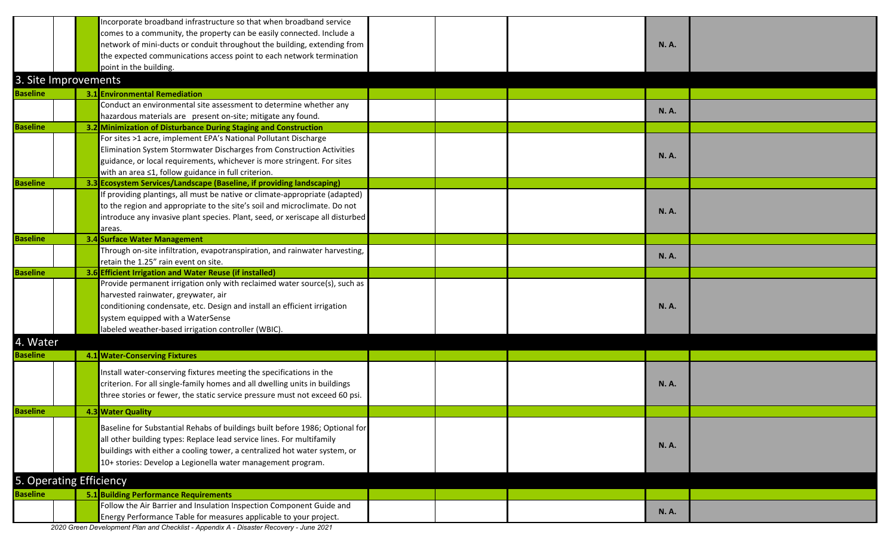|                 |                         | Incorporate broadband infrastructure so that when broadband service           |  |             |  |
|-----------------|-------------------------|-------------------------------------------------------------------------------|--|-------------|--|
|                 |                         | comes to a community, the property can be easily connected. Include a         |  |             |  |
|                 |                         | network of mini-ducts or conduit throughout the building, extending from      |  | <b>N.A.</b> |  |
|                 |                         | the expected communications access point to each network termination          |  |             |  |
|                 |                         | point in the building.                                                        |  |             |  |
|                 | 3. Site Improvements    |                                                                               |  |             |  |
| <b>Baseline</b> |                         | 3.1 Environmental Remediation                                                 |  |             |  |
|                 |                         | Conduct an environmental site assessment to determine whether any             |  |             |  |
|                 |                         | hazardous materials are present on-site; mitigate any found.                  |  | <b>N.A.</b> |  |
| <b>Baseline</b> |                         | 3.2 Minimization of Disturbance During Staging and Construction               |  |             |  |
|                 |                         | For sites >1 acre, implement EPA's National Pollutant Discharge               |  |             |  |
|                 |                         | Elimination System Stormwater Discharges from Construction Activities         |  |             |  |
|                 |                         | guidance, or local requirements, whichever is more stringent. For sites       |  | <b>N.A.</b> |  |
|                 |                         | with an area ≤1, follow guidance in full criterion.                           |  |             |  |
| <b>Baseline</b> |                         | 3.3 Ecosystem Services/Landscape (Baseline, if providing landscaping)         |  |             |  |
|                 |                         | If providing plantings, all must be native or climate-appropriate (adapted)   |  |             |  |
|                 |                         | to the region and appropriate to the site's soil and microclimate. Do not     |  |             |  |
|                 |                         | introduce any invasive plant species. Plant, seed, or xeriscape all disturbed |  | <b>N.A.</b> |  |
|                 |                         | areas.                                                                        |  |             |  |
| <b>Baseline</b> |                         | <b>3.4 Surface Water Management</b>                                           |  |             |  |
|                 |                         | Through on-site infiltration, evapotranspiration, and rainwater harvesting,   |  | <b>N.A.</b> |  |
|                 |                         | retain the 1.25" rain event on site.                                          |  |             |  |
| <b>Baseline</b> |                         | 3.6 Efficient Irrigation and Water Reuse (if installed)                       |  |             |  |
|                 |                         | Provide permanent irrigation only with reclaimed water source(s), such as     |  |             |  |
|                 |                         | harvested rainwater, greywater, air                                           |  |             |  |
|                 |                         | conditioning condensate, etc. Design and install an efficient irrigation      |  | <b>N.A.</b> |  |
|                 |                         | system equipped with a WaterSense                                             |  |             |  |
|                 |                         | labeled weather-based irrigation controller (WBIC).                           |  |             |  |
| 4. Water        |                         |                                                                               |  |             |  |
| <b>Baseline</b> |                         | 4.1 Water-Conserving Fixtures                                                 |  |             |  |
|                 |                         | Install water-conserving fixtures meeting the specifications in the           |  |             |  |
|                 |                         | criterion. For all single-family homes and all dwelling units in buildings    |  | <b>N.A.</b> |  |
|                 |                         | three stories or fewer, the static service pressure must not exceed 60 psi.   |  |             |  |
|                 |                         |                                                                               |  |             |  |
| <b>Baseline</b> |                         | 4.3 Water Quality                                                             |  |             |  |
|                 |                         | Baseline for Substantial Rehabs of buildings built before 1986; Optional for  |  |             |  |
|                 |                         | all other building types: Replace lead service lines. For multifamily         |  | <b>N.A.</b> |  |
|                 |                         | buildings with either a cooling tower, a centralized hot water system, or     |  |             |  |
|                 |                         | 10+ stories: Develop a Legionella water management program.                   |  |             |  |
|                 | 5. Operating Efficiency |                                                                               |  |             |  |
|                 |                         |                                                                               |  |             |  |
| <b>Baseline</b> |                         | <b>5.1 Building Performance Requirements</b>                                  |  |             |  |
|                 |                         | Follow the Air Barrier and Insulation Inspection Component Guide and          |  | <b>N.A.</b> |  |
|                 |                         | Energy Performance Table for measures applicable to your project.             |  |             |  |

 *2020 Green Development Plan and Checklist - Appendix A - Disaster Recovery - June 2021*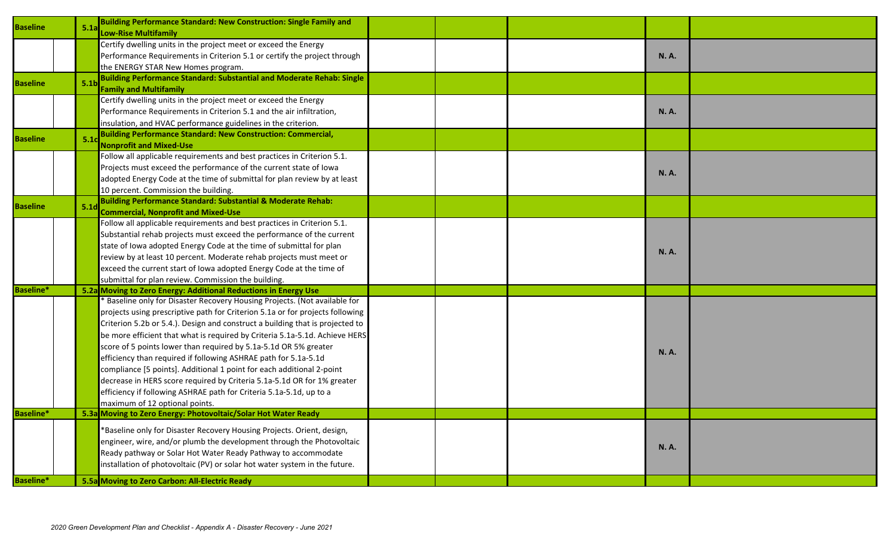| <b>Baseline</b>  | <b>Building Performance Standard: New Construction: Single Family and</b><br>5.1a<br><b>Low-Rise Multifamily</b>                                                                                                                                                                                                                                                                                                                                                                                                                                                                                                                                                                                                                     |  |             |  |
|------------------|--------------------------------------------------------------------------------------------------------------------------------------------------------------------------------------------------------------------------------------------------------------------------------------------------------------------------------------------------------------------------------------------------------------------------------------------------------------------------------------------------------------------------------------------------------------------------------------------------------------------------------------------------------------------------------------------------------------------------------------|--|-------------|--|
|                  | Certify dwelling units in the project meet or exceed the Energy<br>Performance Requirements in Criterion 5.1 or certify the project through<br>the ENERGY STAR New Homes program.                                                                                                                                                                                                                                                                                                                                                                                                                                                                                                                                                    |  | <b>N.A.</b> |  |
| <b>Baseline</b>  | <b>Building Performance Standard: Substantial and Moderate Rehab: Single</b><br>5.1 <sub>b</sub><br><b>Family and Multifamily</b>                                                                                                                                                                                                                                                                                                                                                                                                                                                                                                                                                                                                    |  |             |  |
|                  | Certify dwelling units in the project meet or exceed the Energy<br>Performance Requirements in Criterion 5.1 and the air infiltration,<br>insulation, and HVAC performance guidelines in the criterion.                                                                                                                                                                                                                                                                                                                                                                                                                                                                                                                              |  | <b>N.A.</b> |  |
| <b>Baseline</b>  | <b>Building Performance Standard: New Construction: Commercial,</b><br>5.1<br><b>Nonprofit and Mixed-Use</b>                                                                                                                                                                                                                                                                                                                                                                                                                                                                                                                                                                                                                         |  |             |  |
|                  | Follow all applicable requirements and best practices in Criterion 5.1.<br>Projects must exceed the performance of the current state of lowa<br>adopted Energy Code at the time of submittal for plan review by at least<br>10 percent. Commission the building.                                                                                                                                                                                                                                                                                                                                                                                                                                                                     |  | <b>N.A.</b> |  |
| <b>Baseline</b>  | <b>Building Performance Standard: Substantial &amp; Moderate Rehab:</b><br>5.1 <sub>d</sub><br><b>Commercial, Nonprofit and Mixed-Use</b>                                                                                                                                                                                                                                                                                                                                                                                                                                                                                                                                                                                            |  |             |  |
|                  | Follow all applicable requirements and best practices in Criterion 5.1.<br>Substantial rehab projects must exceed the performance of the current<br>state of Iowa adopted Energy Code at the time of submittal for plan<br>review by at least 10 percent. Moderate rehab projects must meet or<br>exceed the current start of lowa adopted Energy Code at the time of<br>submittal for plan review. Commission the building.                                                                                                                                                                                                                                                                                                         |  | <b>N.A.</b> |  |
| <b>Baseline*</b> | 5.2a Moving to Zero Energy: Additional Reductions in Energy Use                                                                                                                                                                                                                                                                                                                                                                                                                                                                                                                                                                                                                                                                      |  |             |  |
|                  | <b>Baseline only for Disaster Recovery Housing Projects. (Not available for</b><br>projects using prescriptive path for Criterion 5.1a or for projects following<br>Criterion 5.2b or 5.4.). Design and construct a building that is projected to<br>be more efficient that what is required by Criteria 5.1a-5.1d. Achieve HERS<br>score of 5 points lower than required by 5.1a-5.1d OR 5% greater<br>efficiency than required if following ASHRAE path for 5.1a-5.1d<br>compliance [5 points]. Additional 1 point for each additional 2-point<br>decrease in HERS score required by Criteria 5.1a-5.1d OR for 1% greater<br>efficiency if following ASHRAE path for Criteria 5.1a-5.1d, up to a<br>maximum of 12 optional points. |  | <b>N.A.</b> |  |
| <b>Baseline*</b> | 5.3a Moving to Zero Energy: Photovoltaic/Solar Hot Water Ready                                                                                                                                                                                                                                                                                                                                                                                                                                                                                                                                                                                                                                                                       |  |             |  |
|                  | *Baseline only for Disaster Recovery Housing Projects. Orient, design,<br>engineer, wire, and/or plumb the development through the Photovoltaic<br>Ready pathway or Solar Hot Water Ready Pathway to accommodate<br>installation of photovoltaic (PV) or solar hot water system in the future.                                                                                                                                                                                                                                                                                                                                                                                                                                       |  | <b>N.A.</b> |  |
| <b>Baseline*</b> | 5.5a Moving to Zero Carbon: All-Electric Ready                                                                                                                                                                                                                                                                                                                                                                                                                                                                                                                                                                                                                                                                                       |  |             |  |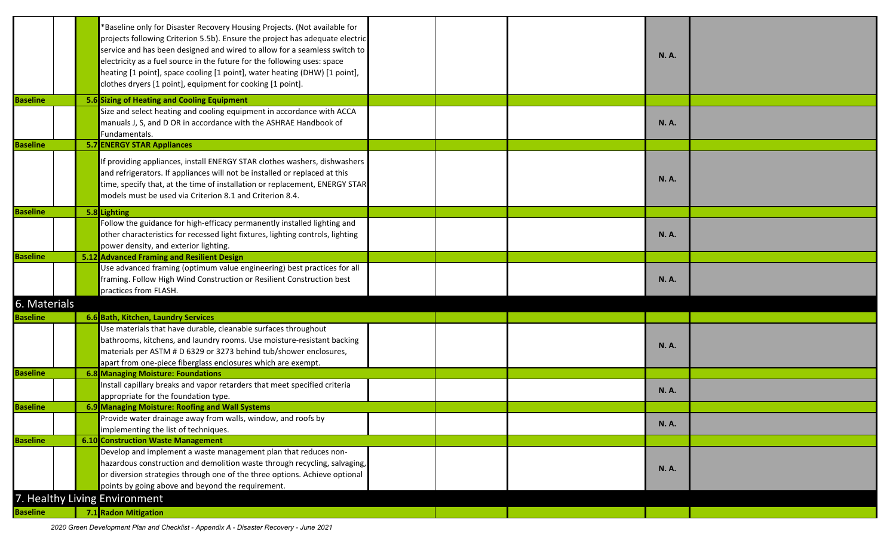|                 | *Baseline only for Disaster Recovery Housing Projects. (Not available for<br>projects following Criterion 5.5b). Ensure the project has adequate electric<br>service and has been designed and wired to allow for a seamless switch to<br>electricity as a fuel source in the future for the following uses: space<br>heating [1 point], space cooling [1 point], water heating (DHW) [1 point],<br>clothes dryers [1 point], equipment for cooking [1 point]. |  | <b>N.A.</b> |  |
|-----------------|----------------------------------------------------------------------------------------------------------------------------------------------------------------------------------------------------------------------------------------------------------------------------------------------------------------------------------------------------------------------------------------------------------------------------------------------------------------|--|-------------|--|
| <b>Baseline</b> | 5.6 Sizing of Heating and Cooling Equipment                                                                                                                                                                                                                                                                                                                                                                                                                    |  |             |  |
|                 | Size and select heating and cooling equipment in accordance with ACCA<br>manuals J, S, and D OR in accordance with the ASHRAE Handbook of<br>Fundamentals.                                                                                                                                                                                                                                                                                                     |  | <b>N.A.</b> |  |
| <b>Baseline</b> | <b>5.7 ENERGY STAR Appliances</b>                                                                                                                                                                                                                                                                                                                                                                                                                              |  |             |  |
|                 | If providing appliances, install ENERGY STAR clothes washers, dishwashers<br>and refrigerators. If appliances will not be installed or replaced at this<br>time, specify that, at the time of installation or replacement, ENERGY STAR<br>models must be used via Criterion 8.1 and Criterion 8.4.                                                                                                                                                             |  | <b>N.A.</b> |  |
| <b>Baseline</b> | 5.8 Lighting                                                                                                                                                                                                                                                                                                                                                                                                                                                   |  |             |  |
|                 | Follow the guidance for high-efficacy permanently installed lighting and<br>other characteristics for recessed light fixtures, lighting controls, lighting<br>power density, and exterior lighting.                                                                                                                                                                                                                                                            |  | <b>N.A.</b> |  |
| <b>Baseline</b> | 5.12 Advanced Framing and Resilient Design                                                                                                                                                                                                                                                                                                                                                                                                                     |  |             |  |
|                 | Use advanced framing (optimum value engineering) best practices for all<br>framing. Follow High Wind Construction or Resilient Construction best<br>practices from FLASH.                                                                                                                                                                                                                                                                                      |  | <b>N.A.</b> |  |
| 6. Materials    |                                                                                                                                                                                                                                                                                                                                                                                                                                                                |  |             |  |
| <b>Baseline</b> | 6.6 Bath, Kitchen, Laundry Services                                                                                                                                                                                                                                                                                                                                                                                                                            |  |             |  |
|                 | Use materials that have durable, cleanable surfaces throughout<br>bathrooms, kitchens, and laundry rooms. Use moisture-resistant backing<br>materials per ASTM # D 6329 or 3273 behind tub/shower enclosures,<br>apart from one-piece fiberglass enclosures which are exempt.                                                                                                                                                                                  |  | <b>N.A.</b> |  |
| <b>Baseline</b> | 6.8 Managing Moisture: Foundations                                                                                                                                                                                                                                                                                                                                                                                                                             |  |             |  |
|                 | Install capillary breaks and vapor retarders that meet specified criteria<br>appropriate for the foundation type.                                                                                                                                                                                                                                                                                                                                              |  | <b>N.A.</b> |  |
| <b>Baseline</b> | 6.9 Managing Moisture: Roofing and Wall Systems                                                                                                                                                                                                                                                                                                                                                                                                                |  |             |  |
|                 | Provide water drainage away from walls, window, and roofs by                                                                                                                                                                                                                                                                                                                                                                                                   |  |             |  |
|                 | implementing the list of techniques.                                                                                                                                                                                                                                                                                                                                                                                                                           |  | <b>N.A.</b> |  |
| <b>Baseline</b> | <b>6.10 Construction Waste Management</b>                                                                                                                                                                                                                                                                                                                                                                                                                      |  |             |  |
|                 | Develop and implement a waste management plan that reduces non-<br>hazardous construction and demolition waste through recycling, salvaging,<br>or diversion strategies through one of the three options. Achieve optional<br>points by going above and beyond the requirement.                                                                                                                                                                                |  | <b>N.A.</b> |  |
|                 | 7. Healthy Living Environment                                                                                                                                                                                                                                                                                                                                                                                                                                  |  |             |  |
| <b>Baseline</b> | 7.1 Radon Mitigation                                                                                                                                                                                                                                                                                                                                                                                                                                           |  |             |  |

 *2020 Green Development Plan and Checklist - Appendix A - Disaster Recovery - June 2021*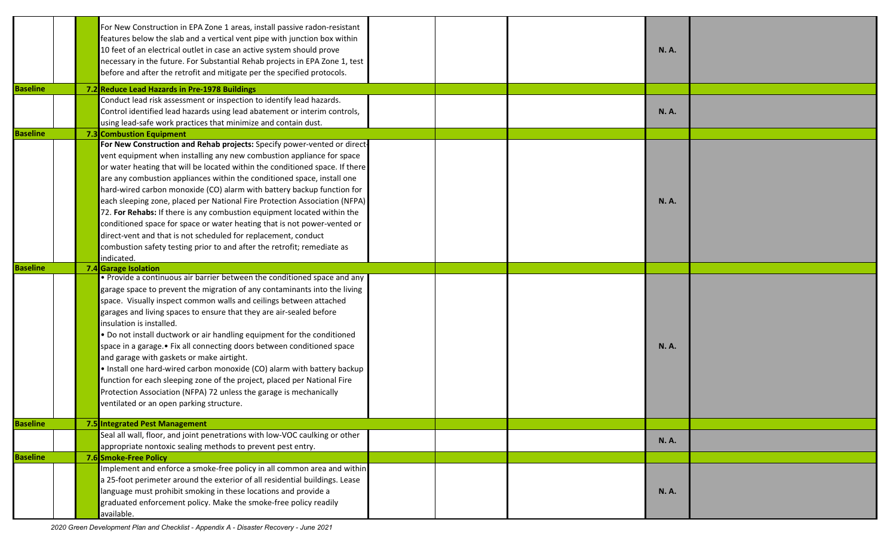|                 | For New Construction in EPA Zone 1 areas, install passive radon-resistant<br>features below the slab and a vertical vent pipe with junction box within<br>10 feet of an electrical outlet in case an active system should prove<br>necessary in the future. For Substantial Rehab projects in EPA Zone 1, test<br>before and after the retrofit and mitigate per the specified protocols. |  | <b>N.A.</b> |
|-----------------|-------------------------------------------------------------------------------------------------------------------------------------------------------------------------------------------------------------------------------------------------------------------------------------------------------------------------------------------------------------------------------------------|--|-------------|
| <b>Baseline</b> | 7.2 Reduce Lead Hazards in Pre-1978 Buildings                                                                                                                                                                                                                                                                                                                                             |  |             |
|                 | Conduct lead risk assessment or inspection to identify lead hazards.                                                                                                                                                                                                                                                                                                                      |  |             |
|                 | Control identified lead hazards using lead abatement or interim controls,                                                                                                                                                                                                                                                                                                                 |  | <b>N.A.</b> |
|                 | using lead-safe work practices that minimize and contain dust.                                                                                                                                                                                                                                                                                                                            |  |             |
| <b>Baseline</b> | 7.3 Combustion Equipment                                                                                                                                                                                                                                                                                                                                                                  |  |             |
|                 | For New Construction and Rehab projects: Specify power-vented or direct-                                                                                                                                                                                                                                                                                                                  |  |             |
|                 | vent equipment when installing any new combustion appliance for space                                                                                                                                                                                                                                                                                                                     |  |             |
|                 | or water heating that will be located within the conditioned space. If there                                                                                                                                                                                                                                                                                                              |  |             |
|                 | are any combustion appliances within the conditioned space, install one                                                                                                                                                                                                                                                                                                                   |  |             |
|                 | hard-wired carbon monoxide (CO) alarm with battery backup function for                                                                                                                                                                                                                                                                                                                    |  |             |
|                 | each sleeping zone, placed per National Fire Protection Association (NFPA)                                                                                                                                                                                                                                                                                                                |  | <b>N.A.</b> |
|                 | 72. For Rehabs: If there is any combustion equipment located within the                                                                                                                                                                                                                                                                                                                   |  |             |
|                 | conditioned space for space or water heating that is not power-vented or                                                                                                                                                                                                                                                                                                                  |  |             |
|                 | direct-vent and that is not scheduled for replacement, conduct                                                                                                                                                                                                                                                                                                                            |  |             |
|                 | combustion safety testing prior to and after the retrofit; remediate as                                                                                                                                                                                                                                                                                                                   |  |             |
|                 | indicated.                                                                                                                                                                                                                                                                                                                                                                                |  |             |
| <b>Baseline</b> | 7.4 Garage Isolation                                                                                                                                                                                                                                                                                                                                                                      |  |             |
|                 | . Provide a continuous air barrier between the conditioned space and any                                                                                                                                                                                                                                                                                                                  |  |             |
|                 | garage space to prevent the migration of any contaminants into the living                                                                                                                                                                                                                                                                                                                 |  |             |
|                 | space. Visually inspect common walls and ceilings between attached                                                                                                                                                                                                                                                                                                                        |  |             |
|                 | garages and living spaces to ensure that they are air-sealed before                                                                                                                                                                                                                                                                                                                       |  |             |
|                 | insulation is installed.                                                                                                                                                                                                                                                                                                                                                                  |  |             |
|                 | . Do not install ductwork or air handling equipment for the conditioned                                                                                                                                                                                                                                                                                                                   |  |             |
|                 | space in a garage.• Fix all connecting doors between conditioned space                                                                                                                                                                                                                                                                                                                    |  | <b>N.A.</b> |
|                 | and garage with gaskets or make airtight.                                                                                                                                                                                                                                                                                                                                                 |  |             |
|                 | . Install one hard-wired carbon monoxide (CO) alarm with battery backup                                                                                                                                                                                                                                                                                                                   |  |             |
|                 | function for each sleeping zone of the project, placed per National Fire                                                                                                                                                                                                                                                                                                                  |  |             |
|                 | Protection Association (NFPA) 72 unless the garage is mechanically                                                                                                                                                                                                                                                                                                                        |  |             |
|                 | ventilated or an open parking structure.                                                                                                                                                                                                                                                                                                                                                  |  |             |
| <b>Baseline</b> | 7.5 Integrated Pest Management                                                                                                                                                                                                                                                                                                                                                            |  |             |
|                 | Seal all wall, floor, and joint penetrations with low-VOC caulking or other                                                                                                                                                                                                                                                                                                               |  |             |
|                 | appropriate nontoxic sealing methods to prevent pest entry.                                                                                                                                                                                                                                                                                                                               |  | <b>N.A.</b> |
| <b>Baseline</b> | 7.6 Smoke-Free Policy                                                                                                                                                                                                                                                                                                                                                                     |  |             |
|                 | Implement and enforce a smoke-free policy in all common area and within                                                                                                                                                                                                                                                                                                                   |  |             |
|                 | a 25-foot perimeter around the exterior of all residential buildings. Lease                                                                                                                                                                                                                                                                                                               |  |             |
|                 | language must prohibit smoking in these locations and provide a                                                                                                                                                                                                                                                                                                                           |  | <b>N.A.</b> |
|                 | graduated enforcement policy. Make the smoke-free policy readily                                                                                                                                                                                                                                                                                                                          |  |             |
|                 | available.                                                                                                                                                                                                                                                                                                                                                                                |  |             |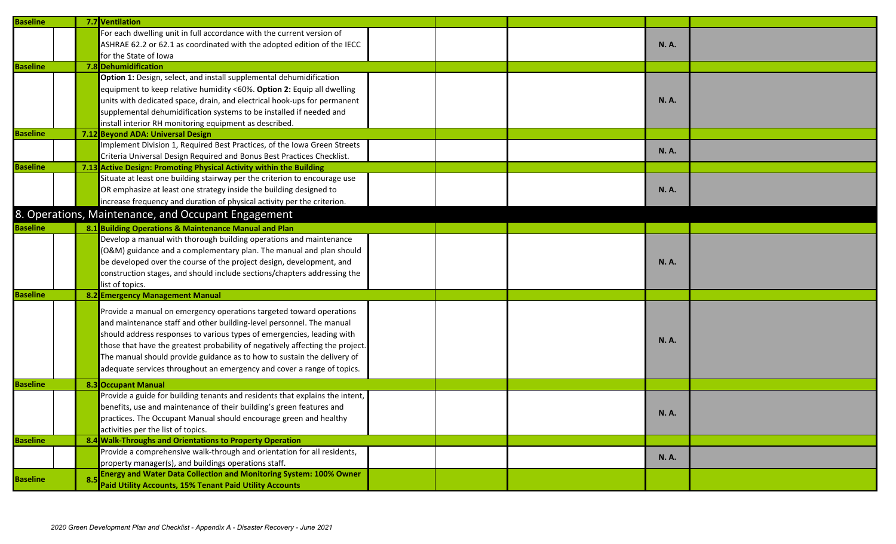| <b>Baseline</b> |     | 7.7 Ventilation                                                               |  |             |  |
|-----------------|-----|-------------------------------------------------------------------------------|--|-------------|--|
|                 |     | For each dwelling unit in full accordance with the current version of         |  |             |  |
|                 |     | ASHRAE 62.2 or 62.1 as coordinated with the adopted edition of the IECC       |  | <b>N.A.</b> |  |
|                 |     | for the State of Iowa                                                         |  |             |  |
| <b>Baseline</b> |     | 7.8 Dehumidification                                                          |  |             |  |
|                 |     | Option 1: Design, select, and install supplemental dehumidification           |  |             |  |
|                 |     | equipment to keep relative humidity <60%. Option 2: Equip all dwelling        |  |             |  |
|                 |     | units with dedicated space, drain, and electrical hook-ups for permanent      |  | <b>N.A.</b> |  |
|                 |     | supplemental dehumidification systems to be installed if needed and           |  |             |  |
|                 |     | install interior RH monitoring equipment as described.                        |  |             |  |
| <b>Baseline</b> |     | 7.12 Beyond ADA: Universal Design                                             |  |             |  |
|                 |     | Implement Division 1, Required Best Practices, of the Iowa Green Streets      |  | <b>N.A.</b> |  |
|                 |     | Criteria Universal Design Required and Bonus Best Practices Checklist.        |  |             |  |
| <b>Baseline</b> |     | 7.13 Active Design: Promoting Physical Activity within the Building           |  |             |  |
|                 |     | Situate at least one building stairway per the criterion to encourage use     |  |             |  |
|                 |     | OR emphasize at least one strategy inside the building designed to            |  | <b>N.A.</b> |  |
|                 |     | increase frequency and duration of physical activity per the criterion.       |  |             |  |
|                 |     | 8. Operations, Maintenance, and Occupant Engagement                           |  |             |  |
| <b>Baseline</b> |     | 8.1 Building Operations & Maintenance Manual and Plan                         |  |             |  |
|                 |     | Develop a manual with thorough building operations and maintenance            |  |             |  |
|                 |     | (O&M) guidance and a complementary plan. The manual and plan should           |  |             |  |
|                 |     | be developed over the course of the project design, development, and          |  | <b>N.A.</b> |  |
|                 |     | construction stages, and should include sections/chapters addressing the      |  |             |  |
|                 |     | list of topics.                                                               |  |             |  |
| <b>Baseline</b> |     | 8.2 Emergency Management Manual                                               |  |             |  |
|                 |     | Provide a manual on emergency operations targeted toward operations           |  |             |  |
|                 |     | and maintenance staff and other building-level personnel. The manual          |  |             |  |
|                 |     | should address responses to various types of emergencies, leading with        |  |             |  |
|                 |     | those that have the greatest probability of negatively affecting the project. |  | <b>N.A.</b> |  |
|                 |     | The manual should provide guidance as to how to sustain the delivery of       |  |             |  |
|                 |     | adequate services throughout an emergency and cover a range of topics.        |  |             |  |
|                 |     |                                                                               |  |             |  |
| <b>Baseline</b> |     | <b>8.3 Occupant Manual</b>                                                    |  |             |  |
|                 |     | Provide a guide for building tenants and residents that explains the intent,  |  |             |  |
|                 |     | benefits, use and maintenance of their building's green features and          |  | <b>N.A.</b> |  |
|                 |     | practices. The Occupant Manual should encourage green and healthy             |  |             |  |
|                 |     | activities per the list of topics.                                            |  |             |  |
| <b>Baseline</b> |     | 8.4 Walk-Throughs and Orientations to Property Operation                      |  |             |  |
|                 |     | Provide a comprehensive walk-through and orientation for all residents,       |  | <b>N.A.</b> |  |
|                 |     | property manager(s), and buildings operations staff.                          |  |             |  |
| <b>Baseline</b> | -8. | <b>Energy and Water Data Collection and Monitoring System: 100% Owner</b>     |  |             |  |
|                 |     | Paid Utility Accounts, 15% Tenant Paid Utility Accounts                       |  |             |  |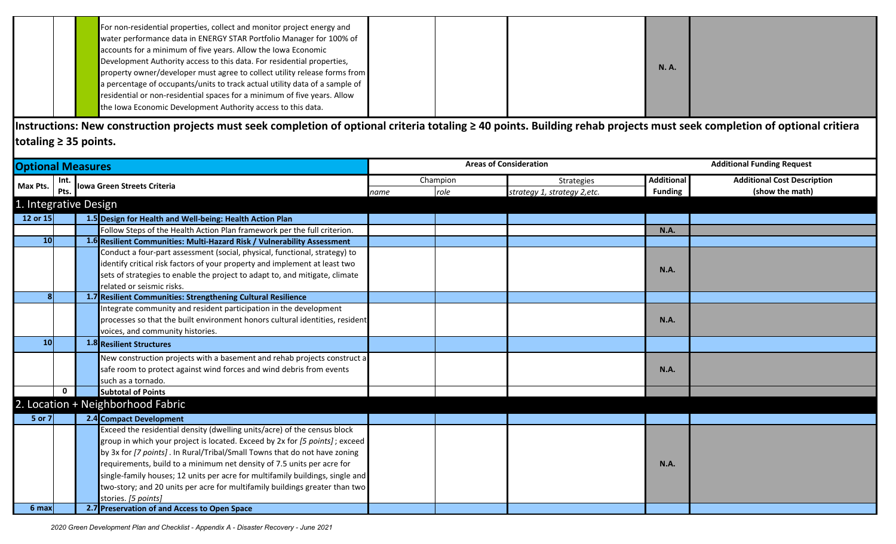|  | For non-residential properties, collect and monitor project energy and<br>water performance data in ENERGY STAR Portfolio Manager for 100% of<br>accounts for a minimum of five years. Allow the Iowa Economic<br>Development Authority access to this data. For residential properties, |  |             |  |
|--|------------------------------------------------------------------------------------------------------------------------------------------------------------------------------------------------------------------------------------------------------------------------------------------|--|-------------|--|
|  | property owner/developer must agree to collect utility release forms from                                                                                                                                                                                                                |  | <b>N.A.</b> |  |
|  | a percentage of occupants/units to track actual utility data of a sample of<br>residential or non-residential spaces for a minimum of five years. Allow                                                                                                                                  |  |             |  |
|  | the Iowa Economic Development Authority access to this data.                                                                                                                                                                                                                             |  |             |  |

**Instructions: New construction projects must seek completion of optional criteria totaling ≥ 40 points. Building rehab projects must seek completion of optional critiera totaling ≥ 35 points.** 

| <b>Optional Measures</b> |             |                                                                               |      |          | <b>Areas of Consideration</b> | <b>Additional Funding Request</b> |                                    |
|--------------------------|-------------|-------------------------------------------------------------------------------|------|----------|-------------------------------|-----------------------------------|------------------------------------|
| Max Pts.                 | Int.        |                                                                               |      | Champion | Strategies                    | <b>Additional</b>                 | <b>Additional Cost Description</b> |
|                          | Pts.        | Iowa Green Streets Criteria                                                   | name | role     | strategy 1, strategy 2, etc.  | <b>Funding</b>                    | (show the math)                    |
| 1. Integrative Design    |             |                                                                               |      |          |                               |                                   |                                    |
| 12 or 15                 |             | 1.5 Design for Health and Well-being: Health Action Plan                      |      |          |                               |                                   |                                    |
|                          |             | Follow Steps of the Health Action Plan framework per the full criterion.      |      |          |                               | <b>N.A.</b>                       |                                    |
| 10                       |             | 1.6 Resilient Communities: Multi-Hazard Risk / Vulnerability Assessment       |      |          |                               |                                   |                                    |
|                          |             | Conduct a four-part assessment (social, physical, functional, strategy) to    |      |          |                               |                                   |                                    |
|                          |             | identify critical risk factors of your property and implement at least two    |      |          |                               | <b>N.A.</b>                       |                                    |
|                          |             | sets of strategies to enable the project to adapt to, and mitigate, climate   |      |          |                               |                                   |                                    |
|                          |             | related or seismic risks.                                                     |      |          |                               |                                   |                                    |
|                          |             | 1.7 Resilient Communities: Strengthening Cultural Resilience                  |      |          |                               |                                   |                                    |
|                          |             | Integrate community and resident participation in the development             |      |          |                               |                                   |                                    |
|                          |             | processes so that the built environment honors cultural identities, resident  |      |          |                               | <b>N.A.</b>                       |                                    |
|                          |             | voices, and community histories.                                              |      |          |                               |                                   |                                    |
| 10                       |             | 1.8 Resilient Structures                                                      |      |          |                               |                                   |                                    |
|                          |             | New construction projects with a basement and rehab projects construct a      |      |          |                               |                                   |                                    |
|                          |             | safe room to protect against wind forces and wind debris from events          |      |          |                               | <b>N.A.</b>                       |                                    |
|                          |             | such as a tornado.                                                            |      |          |                               |                                   |                                    |
|                          | $\mathbf 0$ | <b>Subtotal of Points</b>                                                     |      |          |                               |                                   |                                    |
|                          |             | 2. Location + Neighborhood Fabric                                             |      |          |                               |                                   |                                    |
| 5 or 7                   |             | 2.4 Compact Development                                                       |      |          |                               |                                   |                                    |
|                          |             | Exceed the residential density (dwelling units/acre) of the census block      |      |          |                               |                                   |                                    |
|                          |             | group in which your project is located. Exceed by 2x for [5 points]; exceed   |      |          |                               |                                   |                                    |
|                          |             | by 3x for [7 points]. In Rural/Tribal/Small Towns that do not have zoning     |      |          |                               |                                   |                                    |
|                          |             | requirements, build to a minimum net density of 7.5 units per acre for        |      |          |                               | <b>N.A.</b>                       |                                    |
|                          |             | single-family houses; 12 units per acre for multifamily buildings, single and |      |          |                               |                                   |                                    |
|                          |             | two-story; and 20 units per acre for multifamily buildings greater than two   |      |          |                               |                                   |                                    |
|                          |             | stories. [5 points]                                                           |      |          |                               |                                   |                                    |
| 6 max                    |             | 2.7 Preservation of and Access to Open Space                                  |      |          |                               |                                   |                                    |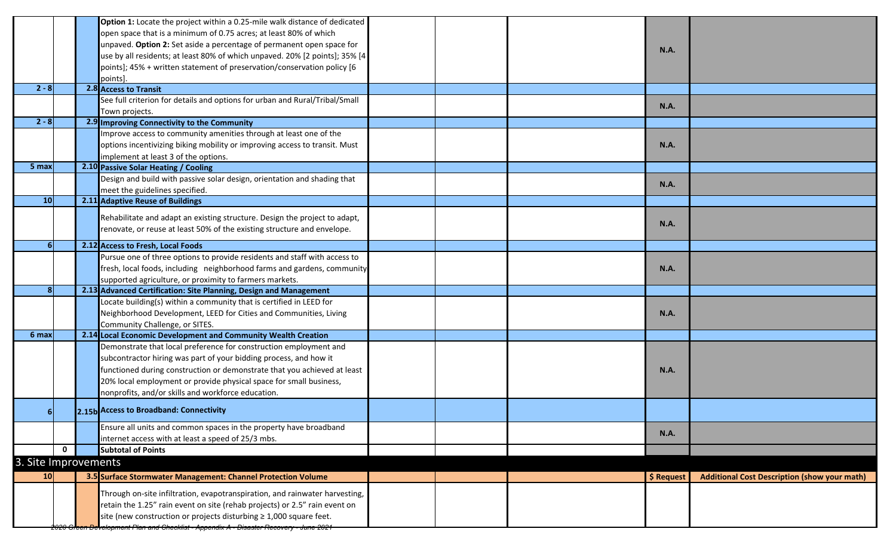|                      |              | Option 1: Locate the project within a 0.25-mile walk distance of dedicated             |  |             |                                                     |
|----------------------|--------------|----------------------------------------------------------------------------------------|--|-------------|-----------------------------------------------------|
|                      |              | open space that is a minimum of 0.75 acres; at least 80% of which                      |  |             |                                                     |
|                      |              | unpaved. Option 2: Set aside a percentage of permanent open space for                  |  | <b>N.A.</b> |                                                     |
|                      |              | use by all residents; at least 80% of which unpaved. 20% [2 points]; 35% [4            |  |             |                                                     |
|                      |              | points]; 45% + written statement of preservation/conservation policy [6                |  |             |                                                     |
|                      |              | points]                                                                                |  |             |                                                     |
| $2 - 8$              |              | 2.8 Access to Transit                                                                  |  |             |                                                     |
|                      |              | See full criterion for details and options for urban and Rural/Tribal/Small            |  | <b>N.A.</b> |                                                     |
|                      |              | Town projects.                                                                         |  |             |                                                     |
| $2 - 8$              |              | 2.9 Improving Connectivity to the Community                                            |  |             |                                                     |
|                      |              | Improve access to community amenities through at least one of the                      |  |             |                                                     |
|                      |              | options incentivizing biking mobility or improving access to transit. Must             |  | <b>N.A.</b> |                                                     |
|                      |              | implement at least 3 of the options.                                                   |  |             |                                                     |
| 5 max                |              | 2.10 Passive Solar Heating / Cooling                                                   |  |             |                                                     |
|                      |              | Design and build with passive solar design, orientation and shading that               |  | <b>N.A.</b> |                                                     |
|                      |              | meet the guidelines specified.                                                         |  |             |                                                     |
| 10                   |              | 2.11 Adaptive Reuse of Buildings                                                       |  |             |                                                     |
|                      |              | Rehabilitate and adapt an existing structure. Design the project to adapt,             |  |             |                                                     |
|                      |              | renovate, or reuse at least 50% of the existing structure and envelope.                |  | <b>N.A.</b> |                                                     |
|                      |              |                                                                                        |  |             |                                                     |
|                      |              | 2.12 Access to Fresh, Local Foods                                                      |  |             |                                                     |
|                      |              | Pursue one of three options to provide residents and staff with access to              |  |             |                                                     |
|                      |              | fresh, local foods, including neighborhood farms and gardens, community                |  | <b>N.A.</b> |                                                     |
|                      |              | supported agriculture, or proximity to farmers markets.                                |  |             |                                                     |
| $\mathbf{8}$         |              | 2.13 Advanced Certification: Site Planning, Design and Management                      |  |             |                                                     |
|                      |              | Locate building(s) within a community that is certified in LEED for                    |  |             |                                                     |
|                      |              | Neighborhood Development, LEED for Cities and Communities, Living                      |  | <b>N.A.</b> |                                                     |
|                      |              | Community Challenge, or SITES.                                                         |  |             |                                                     |
| 6 max                |              | 2.14 Local Economic Development and Community Wealth Creation                          |  |             |                                                     |
|                      |              | Demonstrate that local preference for construction employment and                      |  |             |                                                     |
|                      |              | subcontractor hiring was part of your bidding process, and how it                      |  |             |                                                     |
|                      |              | functioned during construction or demonstrate that you achieved at least               |  | <b>N.A.</b> |                                                     |
|                      |              | 20% local employment or provide physical space for small business,                     |  |             |                                                     |
|                      |              | nonprofits, and/or skills and workforce education.                                     |  |             |                                                     |
|                      |              | 2.15b Access to Broadband: Connectivity                                                |  |             |                                                     |
|                      |              | Ensure all units and common spaces in the property have broadband                      |  | <b>N.A.</b> |                                                     |
|                      |              | internet access with at least a speed of 25/3 mbs.                                     |  |             |                                                     |
|                      | $\mathbf{0}$ | <b>Subtotal of Points</b>                                                              |  |             |                                                     |
| 3. Site Improvements |              |                                                                                        |  |             |                                                     |
| 10 <sup>1</sup>      |              | 3.5 Surface Stormwater Management: Channel Protection Volume                           |  | \$ Request  | <b>Additional Cost Description (show your math)</b> |
|                      |              | Through on-site infiltration, evapotranspiration, and rainwater harvesting,            |  |             |                                                     |
|                      |              | retain the 1.25" rain event on site (rehab projects) or 2.5" rain event on             |  |             |                                                     |
|                      |              | site (new construction or projects disturbing $\geq 1,000$ square feet.                |  |             |                                                     |
|                      |              | 2020 Green Development Plan and Checklist - Appendix A - Disaster Recovery - June 2021 |  |             |                                                     |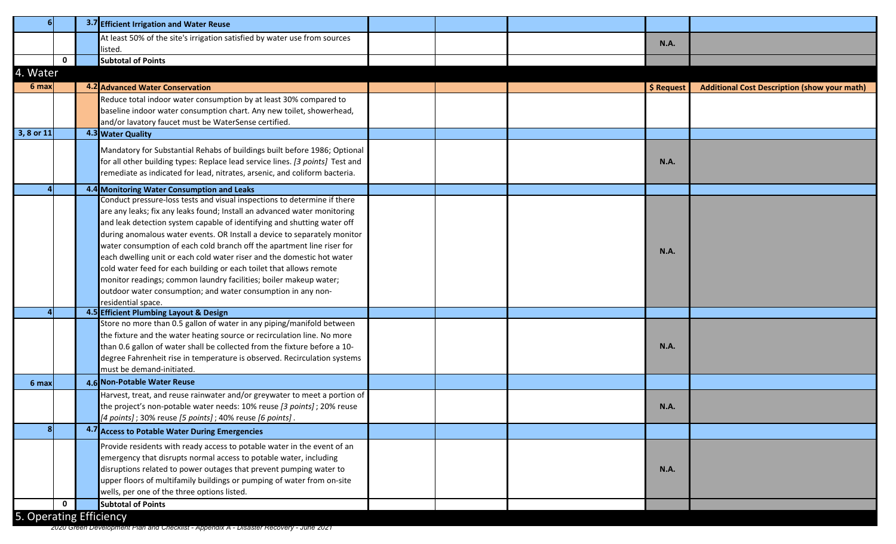|                         |              | 3.7 Efficient Irrigation and Water Reuse                                                                                                         |  |             |                                                     |
|-------------------------|--------------|--------------------------------------------------------------------------------------------------------------------------------------------------|--|-------------|-----------------------------------------------------|
|                         |              | At least 50% of the site's irrigation satisfied by water use from sources                                                                        |  |             |                                                     |
|                         |              | listed.                                                                                                                                          |  | <b>N.A.</b> |                                                     |
|                         | $\mathbf{0}$ | <b>Subtotal of Points</b>                                                                                                                        |  |             |                                                     |
| 4. Water                |              |                                                                                                                                                  |  |             |                                                     |
| 6 max                   |              | <b>4.2 Advanced Water Conservation</b>                                                                                                           |  | \$ Request  | <b>Additional Cost Description (show your math)</b> |
|                         |              | Reduce total indoor water consumption by at least 30% compared to                                                                                |  |             |                                                     |
|                         |              | baseline indoor water consumption chart. Any new toilet, showerhead,                                                                             |  |             |                                                     |
|                         |              | and/or lavatory faucet must be WaterSense certified.                                                                                             |  |             |                                                     |
| 3, 8 or 11              |              | 4.3 Water Quality                                                                                                                                |  |             |                                                     |
|                         |              | Mandatory for Substantial Rehabs of buildings built before 1986; Optional                                                                        |  |             |                                                     |
|                         |              | for all other building types: Replace lead service lines. [3 points] Test and                                                                    |  | <b>N.A.</b> |                                                     |
|                         |              | remediate as indicated for lead, nitrates, arsenic, and coliform bacteria.                                                                       |  |             |                                                     |
|                         |              |                                                                                                                                                  |  |             |                                                     |
|                         |              | 4.4 Monitoring Water Consumption and Leaks                                                                                                       |  |             |                                                     |
|                         |              | Conduct pressure-loss tests and visual inspections to determine if there                                                                         |  |             |                                                     |
|                         |              | are any leaks; fix any leaks found; Install an advanced water monitoring                                                                         |  |             |                                                     |
|                         |              | and leak detection system capable of identifying and shutting water off                                                                          |  |             |                                                     |
|                         |              | during anomalous water events. OR Install a device to separately monitor                                                                         |  |             |                                                     |
|                         |              | water consumption of each cold branch off the apartment line riser for<br>each dwelling unit or each cold water riser and the domestic hot water |  | <b>N.A.</b> |                                                     |
|                         |              | cold water feed for each building or each toilet that allows remote                                                                              |  |             |                                                     |
|                         |              | monitor readings; common laundry facilities; boiler makeup water;                                                                                |  |             |                                                     |
|                         |              | outdoor water consumption; and water consumption in any non-                                                                                     |  |             |                                                     |
|                         |              | residential space.                                                                                                                               |  |             |                                                     |
|                         |              | 4.5 Efficient Plumbing Layout & Design                                                                                                           |  |             |                                                     |
|                         |              | Store no more than 0.5 gallon of water in any piping/manifold between                                                                            |  |             |                                                     |
|                         |              | the fixture and the water heating source or recirculation line. No more                                                                          |  |             |                                                     |
|                         |              | than 0.6 gallon of water shall be collected from the fixture before a 10-                                                                        |  | <b>N.A.</b> |                                                     |
|                         |              | degree Fahrenheit rise in temperature is observed. Recirculation systems                                                                         |  |             |                                                     |
|                         |              | must be demand-initiated.                                                                                                                        |  |             |                                                     |
| 6 max                   |              | 4.6 Non-Potable Water Reuse                                                                                                                      |  |             |                                                     |
|                         |              | Harvest, treat, and reuse rainwater and/or greywater to meet a portion of                                                                        |  |             |                                                     |
|                         |              | the project's non-potable water needs: 10% reuse [3 points]; 20% reuse                                                                           |  | <b>N.A.</b> |                                                     |
|                         |              | [4 points]; 30% reuse [5 points]; 40% reuse [6 points].                                                                                          |  |             |                                                     |
|                         |              | 4.7 Access to Potable Water During Emergencies                                                                                                   |  |             |                                                     |
|                         |              | Provide residents with ready access to potable water in the event of an                                                                          |  |             |                                                     |
|                         |              | emergency that disrupts normal access to potable water, including                                                                                |  |             |                                                     |
|                         |              | disruptions related to power outages that prevent pumping water to                                                                               |  | <b>N.A.</b> |                                                     |
|                         |              | upper floors of multifamily buildings or pumping of water from on-site                                                                           |  |             |                                                     |
|                         |              | wells, per one of the three options listed.                                                                                                      |  |             |                                                     |
|                         | $\mathbf{0}$ | <b>Subtotal of Points</b>                                                                                                                        |  |             |                                                     |
| 5. Operating Efficiency |              |                                                                                                                                                  |  |             |                                                     |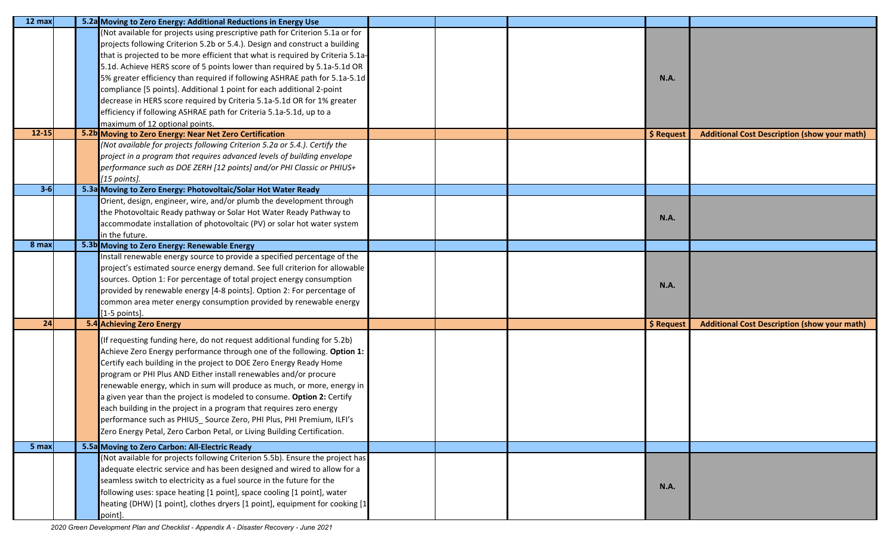| $12 \text{ max}$ | 5.2a Moving to Zero Energy: Additional Reductions in Energy Use                |  |             |                                                     |
|------------------|--------------------------------------------------------------------------------|--|-------------|-----------------------------------------------------|
|                  | Not available for projects using prescriptive path for Criterion 5.1a or for   |  |             |                                                     |
|                  | projects following Criterion 5.2b or 5.4.). Design and construct a building    |  |             |                                                     |
|                  | that is projected to be more efficient that what is required by Criteria 5.1a- |  |             |                                                     |
|                  | 5.1d. Achieve HERS score of 5 points lower than required by 5.1a-5.1d OR       |  |             |                                                     |
|                  | 5% greater efficiency than required if following ASHRAE path for 5.1a-5.1d     |  | <b>N.A.</b> |                                                     |
|                  | compliance [5 points]. Additional 1 point for each additional 2-point          |  |             |                                                     |
|                  | decrease in HERS score required by Criteria 5.1a-5.1d OR for 1% greater        |  |             |                                                     |
|                  | efficiency if following ASHRAE path for Criteria 5.1a-5.1d, up to a            |  |             |                                                     |
|                  | maximum of 12 optional points.                                                 |  |             |                                                     |
| $12 - 15$        | 5.2b Moving to Zero Energy: Near Net Zero Certification                        |  | \$ Request  | <b>Additional Cost Description (show your math)</b> |
|                  | (Not available for projects following Criterion 5.2a or 5.4.). Certify the     |  |             |                                                     |
|                  | project in a program that requires advanced levels of building envelope        |  |             |                                                     |
|                  | performance such as DOE ZERH [12 points] and/or PHI Classic or PHIUS+          |  |             |                                                     |
|                  | [15 points].                                                                   |  |             |                                                     |
| $3-6$            | 5.3a Moving to Zero Energy: Photovoltaic/Solar Hot Water Ready                 |  |             |                                                     |
|                  | Orient, design, engineer, wire, and/or plumb the development through           |  |             |                                                     |
|                  | the Photovoltaic Ready pathway or Solar Hot Water Ready Pathway to             |  |             |                                                     |
|                  | accommodate installation of photovoltaic (PV) or solar hot water system        |  | <b>N.A.</b> |                                                     |
|                  | in the future.                                                                 |  |             |                                                     |
| 8 max            | 5.3b Moving to Zero Energy: Renewable Energy                                   |  |             |                                                     |
|                  | nstall renewable energy source to provide a specified percentage of the        |  |             |                                                     |
|                  | project's estimated source energy demand. See full criterion for allowable     |  |             |                                                     |
|                  | sources. Option 1: For percentage of total project energy consumption          |  | <b>N.A.</b> |                                                     |
|                  | provided by renewable energy [4-8 points]. Option 2: For percentage of         |  |             |                                                     |
|                  | common area meter energy consumption provided by renewable energy              |  |             |                                                     |
|                  | $[1-5$ points].                                                                |  |             |                                                     |
| 24               | 5.4 Achieving Zero Energy                                                      |  | \$ Request  | <b>Additional Cost Description (show your math)</b> |
|                  | (If requesting funding here, do not request additional funding for 5.2b)       |  |             |                                                     |
|                  | Achieve Zero Energy performance through one of the following. Option 1:        |  |             |                                                     |
|                  | Certify each building in the project to DOE Zero Energy Ready Home             |  |             |                                                     |
|                  | program or PHI Plus AND Either install renewables and/or procure               |  |             |                                                     |
|                  | renewable energy, which in sum will produce as much, or more, energy in        |  |             |                                                     |
|                  | a given year than the project is modeled to consume. Option 2: Certify         |  |             |                                                     |
|                  | each building in the project in a program that requires zero energy            |  |             |                                                     |
|                  | performance such as PHIUS_Source Zero, PHI Plus, PHI Premium, ILFI's           |  |             |                                                     |
|                  | Zero Energy Petal, Zero Carbon Petal, or Living Building Certification.        |  |             |                                                     |
|                  |                                                                                |  |             |                                                     |
| 5 max            | 5.5a Moving to Zero Carbon: All-Electric Ready                                 |  |             |                                                     |
|                  | (Not available for projects following Criterion 5.5b). Ensure the project has  |  |             |                                                     |
|                  | adequate electric service and has been designed and wired to allow for a       |  |             |                                                     |
|                  | seamless switch to electricity as a fuel source in the future for the          |  | <b>N.A.</b> |                                                     |
|                  | following uses: space heating [1 point], space cooling [1 point], water        |  |             |                                                     |
|                  | heating (DHW) [1 point], clothes dryers [1 point], equipment for cooking [1    |  |             |                                                     |
|                  | point].                                                                        |  |             |                                                     |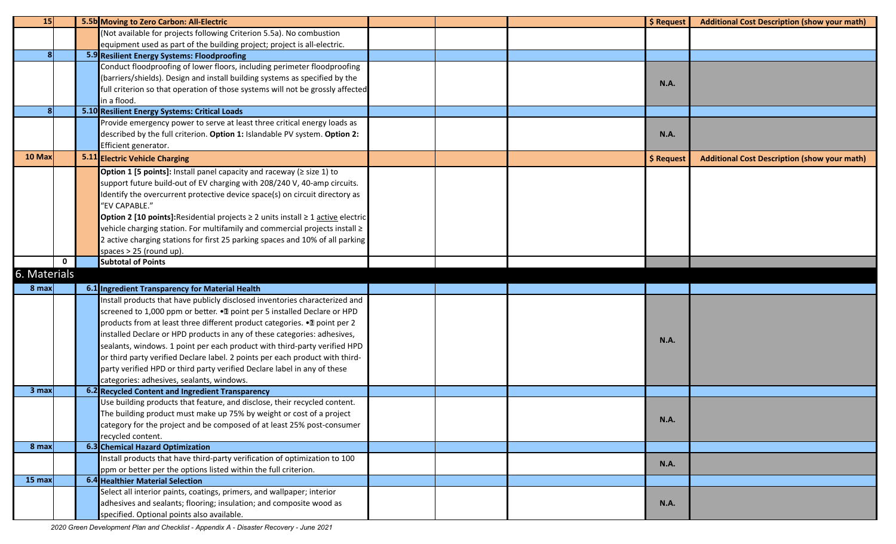| <b>15</b>    |             | 5.5b Moving to Zero Carbon: All-Electric                                                   |  | \$ Request  | <b>Additional Cost Description (show your math)</b> |
|--------------|-------------|--------------------------------------------------------------------------------------------|--|-------------|-----------------------------------------------------|
|              |             | (Not available for projects following Criterion 5.5a). No combustion                       |  |             |                                                     |
|              |             | equipment used as part of the building project; project is all-electric.                   |  |             |                                                     |
|              |             | 5.9 Resilient Energy Systems: Floodproofing                                                |  |             |                                                     |
|              |             | Conduct floodproofing of lower floors, including perimeter floodproofing                   |  |             |                                                     |
|              |             | (barriers/shields). Design and install building systems as specified by the                |  | <b>N.A.</b> |                                                     |
|              |             | full criterion so that operation of those systems will not be grossly affected             |  |             |                                                     |
|              |             | in a flood.                                                                                |  |             |                                                     |
|              |             | 5.10 Resilient Energy Systems: Critical Loads                                              |  |             |                                                     |
|              |             | Provide emergency power to serve at least three critical energy loads as                   |  |             |                                                     |
|              |             | described by the full criterion. Option 1: Islandable PV system. Option 2:                 |  | <b>N.A.</b> |                                                     |
|              |             | Efficient generator.                                                                       |  |             |                                                     |
| 10 Max       |             | 5.11 Electric Vehicle Charging                                                             |  | \$ Request  | <b>Additional Cost Description (show your math)</b> |
|              |             | Option 1 [5 points]: Install panel capacity and raceway ( $\ge$ size 1) to                 |  |             |                                                     |
|              |             | support future build-out of EV charging with 208/240 V, 40-amp circuits.                   |  |             |                                                     |
|              |             | Identify the overcurrent protective device space(s) on circuit directory as                |  |             |                                                     |
|              |             | "EV CAPABLE."                                                                              |  |             |                                                     |
|              |             | Option 2 [10 points]: Residential projects $\geq 2$ units install $\geq 1$ active electric |  |             |                                                     |
|              |             | vehicle charging station. For multifamily and commercial projects install $\geq$           |  |             |                                                     |
|              |             | 2 active charging stations for first 25 parking spaces and 10% of all parking              |  |             |                                                     |
|              |             | spaces > 25 (round up).                                                                    |  |             |                                                     |
|              | $\mathbf 0$ | <b>Subtotal of Points</b>                                                                  |  |             |                                                     |
| 6. Materials |             |                                                                                            |  |             |                                                     |
| 8 max        |             | 6.1 Ingredient Transparency for Material Health                                            |  |             |                                                     |
|              |             | Install products that have publicly disclosed inventories characterized and                |  |             |                                                     |
|              |             | screened to 1,000 ppm or better. . The point per 5 installed Declare or HPD                |  |             |                                                     |
|              |             | products from at least three different product categories. . I point per 2                 |  |             |                                                     |
|              |             | installed Declare or HPD products in any of these categories: adhesives,                   |  |             |                                                     |
|              |             | sealants, windows. 1 point per each product with third-party verified HPD                  |  | <b>N.A.</b> |                                                     |
|              |             | or third party verified Declare label. 2 points per each product with third-               |  |             |                                                     |
|              |             | party verified HPD or third party verified Declare label in any of these                   |  |             |                                                     |
|              |             | categories: adhesives, sealants, windows.                                                  |  |             |                                                     |
| 3 max        |             | 6.2 Recycled Content and Ingredient Transparency                                           |  |             |                                                     |
|              |             | Use building products that feature, and disclose, their recycled content.                  |  |             |                                                     |
|              |             | The building product must make up 75% by weight or cost of a project                       |  |             |                                                     |
|              |             | category for the project and be composed of at least 25% post-consumer                     |  | N.A.        |                                                     |
|              |             | recycled content.                                                                          |  |             |                                                     |
| 8 max        |             | <b>6.3</b> Chemical Hazard Optimization                                                    |  |             |                                                     |
|              |             | Install products that have third-party verification of optimization to 100                 |  |             |                                                     |
|              |             | ppm or better per the options listed within the full criterion.                            |  | <b>N.A.</b> |                                                     |
| 15 max       |             | 6.4 Healthier Material Selection                                                           |  |             |                                                     |
|              |             | Select all interior paints, coatings, primers, and wallpaper; interior                     |  |             |                                                     |
|              |             | adhesives and sealants; flooring; insulation; and composite wood as                        |  | <b>N.A.</b> |                                                     |
|              |             | specified. Optional points also available.                                                 |  |             |                                                     |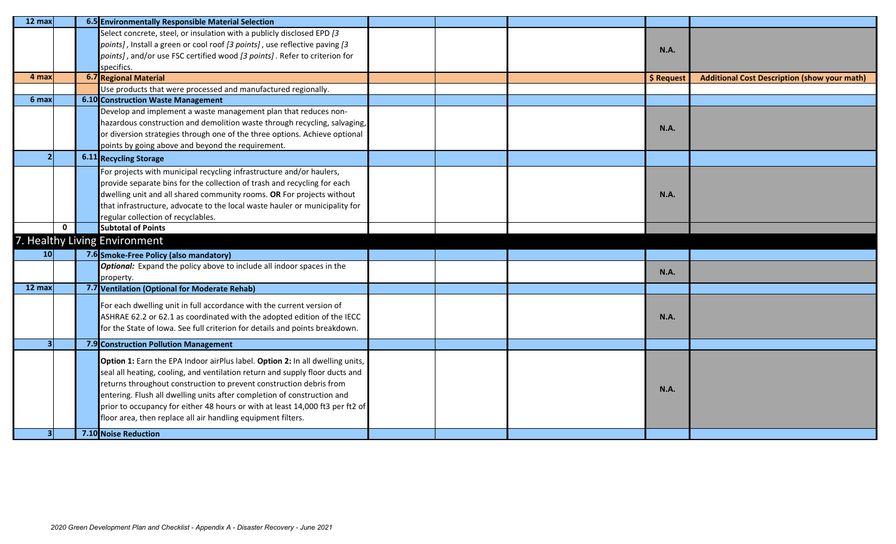| 12 max           |             | 6.5 Environmentally Responsible Material Selection                            |  |             |                                                     |
|------------------|-------------|-------------------------------------------------------------------------------|--|-------------|-----------------------------------------------------|
|                  |             | Select concrete, steel, or insulation with a publicly disclosed EPD [3        |  |             |                                                     |
|                  |             | points], Install a green or cool roof [3 points], use reflective paving [3    |  | <b>N.A.</b> |                                                     |
|                  |             | points], and/or use FSC certified wood [3 points]. Refer to criterion for     |  |             |                                                     |
| 4 max            |             | specifics.<br><b>6.7 Regional Material</b>                                    |  | \$ Request  | <b>Additional Cost Description (show your math)</b> |
|                  |             | Use products that were processed and manufactured regionally.                 |  |             |                                                     |
| 6 <sub>max</sub> |             | <b>6.10 Construction Waste Management</b>                                     |  |             |                                                     |
|                  |             | Develop and implement a waste management plan that reduces non-               |  |             |                                                     |
|                  |             | hazardous construction and demolition waste through recycling, salvaging,     |  |             |                                                     |
|                  |             | or diversion strategies through one of the three options. Achieve optional    |  | <b>N.A.</b> |                                                     |
|                  |             | points by going above and beyond the requirement.                             |  |             |                                                     |
|                  |             | <b>6.11</b> Recycling Storage                                                 |  |             |                                                     |
|                  |             | For projects with municipal recycling infrastructure and/or haulers,          |  |             |                                                     |
|                  |             | provide separate bins for the collection of trash and recycling for each      |  |             |                                                     |
|                  |             | dwelling unit and all shared community rooms. OR For projects without         |  | <b>N.A.</b> |                                                     |
|                  |             | that infrastructure, advocate to the local waste hauler or municipality for   |  |             |                                                     |
|                  |             | regular collection of recyclables.                                            |  |             |                                                     |
|                  | $\mathbf 0$ | <b>Subtotal of Points</b>                                                     |  |             |                                                     |
|                  |             | 7. Healthy Living Environment                                                 |  |             |                                                     |
| 10 <sup>1</sup>  |             | 7.6 Smoke-Free Policy (also mandatory)                                        |  |             |                                                     |
|                  |             | <b>Optional:</b> Expand the policy above to include all indoor spaces in the  |  | N.A.        |                                                     |
|                  |             | property.                                                                     |  |             |                                                     |
| 12 max           |             | 7.7 Ventilation (Optional for Moderate Rehab)                                 |  |             |                                                     |
|                  |             | For each dwelling unit in full accordance with the current version of         |  |             |                                                     |
|                  |             | ASHRAE 62.2 or 62.1 as coordinated with the adopted edition of the IECC       |  | <b>N.A.</b> |                                                     |
|                  |             | for the State of Iowa. See full criterion for details and points breakdown.   |  |             |                                                     |
|                  |             | 7.9 Construction Pollution Management                                         |  |             |                                                     |
|                  |             | Option 1: Earn the EPA Indoor airPlus label. Option 2: In all dwelling units, |  |             |                                                     |
|                  |             | seal all heating, cooling, and ventilation return and supply floor ducts and  |  |             |                                                     |
|                  |             | returns throughout construction to prevent construction debris from           |  |             |                                                     |
|                  |             | entering. Flush all dwelling units after completion of construction and       |  | <b>N.A.</b> |                                                     |
|                  |             | prior to occupancy for either 48 hours or with at least 14,000 ft3 per ft2 of |  |             |                                                     |
|                  |             | floor area, then replace all air handling equipment filters.                  |  |             |                                                     |
|                  |             |                                                                               |  |             |                                                     |
|                  |             | 7.10 Noise Reduction                                                          |  |             |                                                     |